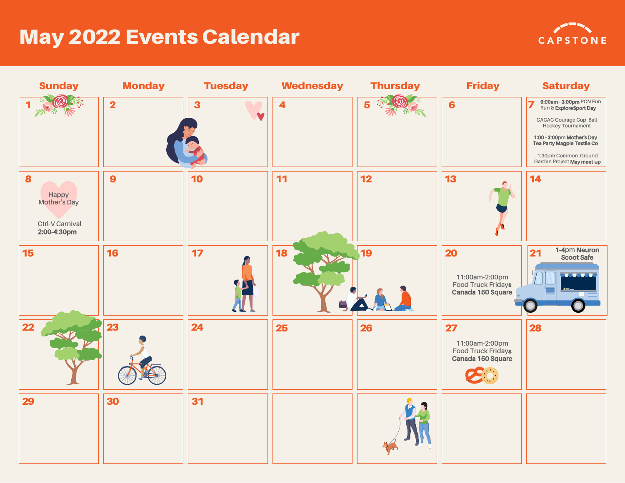## May 2022 Events Calendar